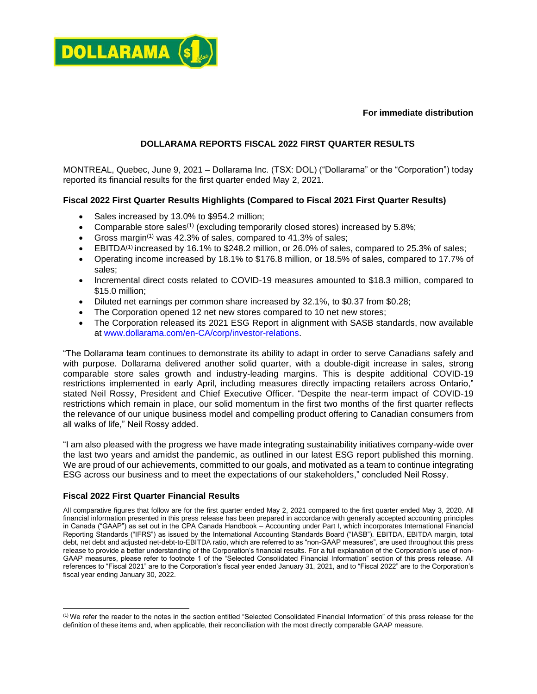

**For immediate distribution**

## **DOLLARAMA REPORTS FISCAL 2022 FIRST QUARTER RESULTS**

MONTREAL, Quebec, June 9, 2021 – Dollarama Inc. (TSX: DOL) ("Dollarama" or the "Corporation") today reported its financial results for the first quarter ended May 2, 2021.

## **Fiscal 2022 First Quarter Results Highlights (Compared to Fiscal 2021 First Quarter Results)**

- Sales increased by 13.0% to \$954.2 million;
- Comparable store sales<sup>(1)</sup> (excluding temporarily closed stores) increased by 5.8%;
- Gross margin<sup>(1)</sup> was 42.3% of sales, compared to 41.3% of sales;
- $\bullet$  EBITDA<sup>(1)</sup> increased by 16.1% to \$248.2 million, or 26.0% of sales, compared to 25.3% of sales;
- Operating income increased by 18.1% to \$176.8 million, or 18.5% of sales, compared to 17.7% of sales;
- Incremental direct costs related to COVID-19 measures amounted to \$18.3 million, compared to \$15.0 million;
- Diluted net earnings per common share increased by 32.1%, to \$0.37 from \$0.28;
- The Corporation opened 12 net new stores compared to 10 net new stores;
- The Corporation released its 2021 ESG Report in alignment with SASB standards, now available at [www.dollarama.com/en-CA/corp/investor-relations.](http://www.dollarama.com/en-CA/corp/investor-relations)

"The Dollarama team continues to demonstrate its ability to adapt in order to serve Canadians safely and with purpose. Dollarama delivered another solid quarter, with a double-digit increase in sales, strong comparable store sales growth and industry-leading margins. This is despite additional COVID-19 restrictions implemented in early April, including measures directly impacting retailers across Ontario," stated Neil Rossy, President and Chief Executive Officer. "Despite the near-term impact of COVID-19 restrictions which remain in place, our solid momentum in the first two months of the first quarter reflects the relevance of our unique business model and compelling product offering to Canadian consumers from all walks of life," Neil Rossy added.

"I am also pleased with the progress we have made integrating sustainability initiatives company-wide over the last two years and amidst the pandemic, as outlined in our latest ESG report published this morning. We are proud of our achievements, committed to our goals, and motivated as a team to continue integrating ESG across our business and to meet the expectations of our stakeholders," concluded Neil Rossy.

### **Fiscal 2022 First Quarter Financial Results**

All comparative figures that follow are for the first quarter ended May 2, 2021 compared to the first quarter ended May 3, 2020. All financial information presented in this press release has been prepared in accordance with generally accepted accounting principles in Canada ("GAAP") as set out in the CPA Canada Handbook – Accounting under Part I, which incorporates International Financial Reporting Standards ("IFRS") as issued by the International Accounting Standards Board ("IASB"). EBITDA, EBITDA margin, total debt, net debt and adjusted net-debt-to-EBITDA ratio, which are referred to as "non-GAAP measures", are used throughout this press release to provide a better understanding of the Corporation's financial results. For a full explanation of the Corporation's use of non-GAAP measures, please refer to footnote 1 of the "Selected Consolidated Financial Information" section of this press release. All references to "Fiscal 2021" are to the Corporation's fiscal year ended January 31, 2021, and to "Fiscal 2022" are to the Corporation's fiscal year ending January 30, 2022.

<sup>(1)</sup> We refer the reader to the notes in the section entitled "Selected Consolidated Financial Information" of this press release for the definition of these items and, when applicable, their reconciliation with the most directly comparable GAAP measure.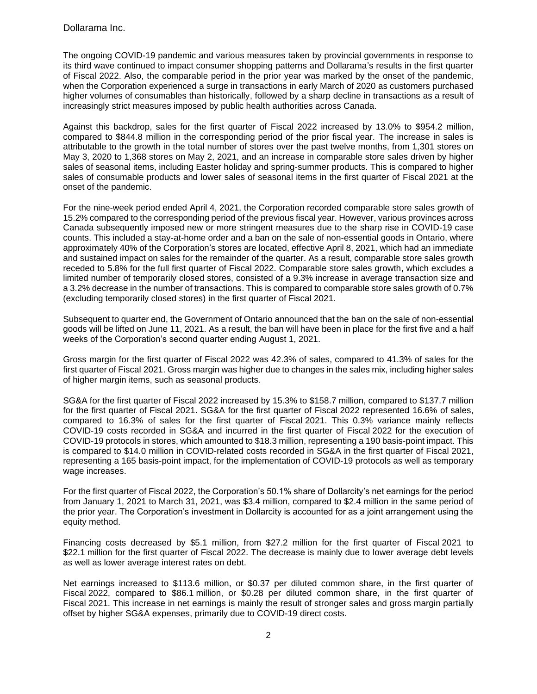### Dollarama Inc.

The ongoing COVID-19 pandemic and various measures taken by provincial governments in response to its third wave continued to impact consumer shopping patterns and Dollarama's results in the first quarter of Fiscal 2022. Also, the comparable period in the prior year was marked by the onset of the pandemic, when the Corporation experienced a surge in transactions in early March of 2020 as customers purchased higher volumes of consumables than historically, followed by a sharp decline in transactions as a result of increasingly strict measures imposed by public health authorities across Canada.

Against this backdrop, sales for the first quarter of Fiscal 2022 increased by 13.0% to \$954.2 million, compared to \$844.8 million in the corresponding period of the prior fiscal year. The increase in sales is attributable to the growth in the total number of stores over the past twelve months, from 1,301 stores on May 3, 2020 to 1,368 stores on May 2, 2021, and an increase in comparable store sales driven by higher sales of seasonal items, including Easter holiday and spring-summer products. This is compared to higher sales of consumable products and lower sales of seasonal items in the first quarter of Fiscal 2021 at the onset of the pandemic.

For the nine-week period ended April 4, 2021, the Corporation recorded comparable store sales growth of 15.2% compared to the corresponding period of the previous fiscal year. However, various provinces across Canada subsequently imposed new or more stringent measures due to the sharp rise in COVID-19 case counts. This included a stay-at-home order and a ban on the sale of non-essential goods in Ontario, where approximately 40% of the Corporation's stores are located, effective April 8, 2021, which had an immediate and sustained impact on sales for the remainder of the quarter. As a result, comparable store sales growth receded to 5.8% for the full first quarter of Fiscal 2022. Comparable store sales growth, which excludes a limited number of temporarily closed stores, consisted of a 9.3% increase in average transaction size and a 3.2% decrease in the number of transactions. This is compared to comparable store sales growth of 0.7% (excluding temporarily closed stores) in the first quarter of Fiscal 2021.

Subsequent to quarter end, the Government of Ontario announced that the ban on the sale of non-essential goods will be lifted on June 11, 2021. As a result, the ban will have been in place for the first five and a half weeks of the Corporation's second quarter ending August 1, 2021.

Gross margin for the first quarter of Fiscal 2022 was 42.3% of sales, compared to 41.3% of sales for the first quarter of Fiscal 2021. Gross margin was higher due to changes in the sales mix, including higher sales of higher margin items, such as seasonal products.

SG&A for the first quarter of Fiscal 2022 increased by 15.3% to \$158.7 million, compared to \$137.7 million for the first quarter of Fiscal 2021. SG&A for the first quarter of Fiscal 2022 represented 16.6% of sales, compared to 16.3% of sales for the first quarter of Fiscal 2021. This 0.3% variance mainly reflects COVID-19 costs recorded in SG&A and incurred in the first quarter of Fiscal 2022 for the execution of COVID-19 protocols in stores, which amounted to \$18.3 million, representing a 190 basis-point impact. This is compared to \$14.0 million in COVID-related costs recorded in SG&A in the first quarter of Fiscal 2021, representing a 165 basis-point impact, for the implementation of COVID-19 protocols as well as temporary wage increases.

For the first quarter of Fiscal 2022, the Corporation's 50.1% share of Dollarcity's net earnings for the period from January 1, 2021 to March 31, 2021, was \$3.4 million, compared to \$2.4 million in the same period of the prior year. The Corporation's investment in Dollarcity is accounted for as a joint arrangement using the equity method.

Financing costs decreased by \$5.1 million, from \$27.2 million for the first quarter of Fiscal 2021 to \$22.1 million for the first quarter of Fiscal 2022. The decrease is mainly due to lower average debt levels as well as lower average interest rates on debt.

Net earnings increased to \$113.6 million, or \$0.37 per diluted common share, in the first quarter of Fiscal 2022, compared to \$86.1 million, or \$0.28 per diluted common share, in the first quarter of Fiscal 2021. This increase in net earnings is mainly the result of stronger sales and gross margin partially offset by higher SG&A expenses, primarily due to COVID-19 direct costs.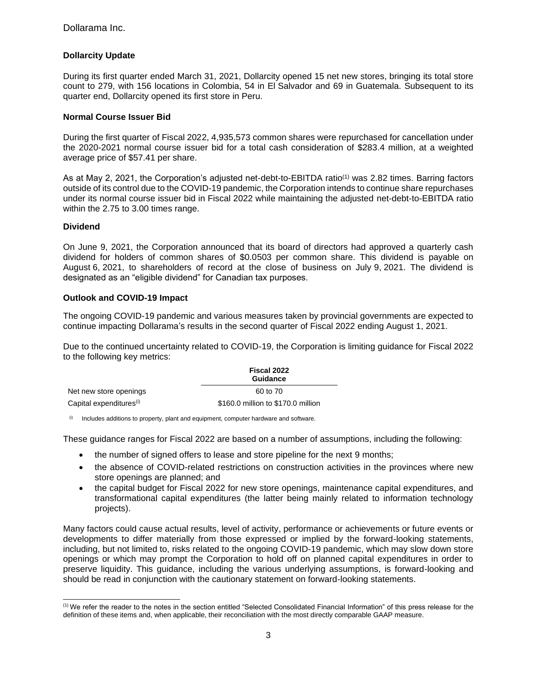## **Dollarcity Update**

During its first quarter ended March 31, 2021, Dollarcity opened 15 net new stores, bringing its total store count to 279, with 156 locations in Colombia, 54 in El Salvador and 69 in Guatemala. Subsequent to its quarter end, Dollarcity opened its first store in Peru.

#### **Normal Course Issuer Bid**

During the first quarter of Fiscal 2022, 4,935,573 common shares were repurchased for cancellation under the 2020-2021 normal course issuer bid for a total cash consideration of \$283.4 million, at a weighted average price of \$57.41 per share.

As at May 2, 2021, the Corporation's adjusted net-debt-to-EBITDA ratio<sup>(1)</sup> was 2.82 times. Barring factors outside of its control due to the COVID-19 pandemic, the Corporation intends to continue share repurchases under its normal course issuer bid in Fiscal 2022 while maintaining the adjusted net-debt-to-EBITDA ratio within the 2.75 to 3.00 times range.

#### **Dividend**

On June 9, 2021, the Corporation announced that its board of directors had approved a quarterly cash dividend for holders of common shares of \$0.0503 per common share. This dividend is payable on August 6, 2021, to shareholders of record at the close of business on July 9, 2021. The dividend is designated as an "eligible dividend" for Canadian tax purposes.

#### **Outlook and COVID-19 Impact**

\_\_\_\_\_\_\_\_\_\_\_\_\_\_\_\_\_\_\_\_\_\_\_\_\_\_\_\_\_\_

The ongoing COVID-19 pandemic and various measures taken by provincial governments are expected to continue impacting Dollarama's results in the second quarter of Fiscal 2022 ending August 1, 2021.

Due to the continued uncertainty related to COVID-19, the Corporation is limiting guidance for Fiscal 2022 to the following key metrics:

|                                     | Fiscal 2022<br><b>Guidance</b>     |  |
|-------------------------------------|------------------------------------|--|
| Net new store openings              | 60 to 70                           |  |
| Capital expenditures <sup>(i)</sup> | \$160.0 million to \$170.0 million |  |

 $(0)$  Includes additions to property, plant and equipment, computer hardware and software.

These guidance ranges for Fiscal 2022 are based on a number of assumptions, including the following:

- the number of signed offers to lease and store pipeline for the next 9 months;
- the absence of COVID-related restrictions on construction activities in the provinces where new store openings are planned; and
- the capital budget for Fiscal 2022 for new store openings, maintenance capital expenditures, and transformational capital expenditures (the latter being mainly related to information technology projects).

Many factors could cause actual results, level of activity, performance or achievements or future events or developments to differ materially from those expressed or implied by the forward-looking statements, including, but not limited to, risks related to the ongoing COVID-19 pandemic, which may slow down store openings or which may prompt the Corporation to hold off on planned capital expenditures in order to preserve liquidity. This guidance, including the various underlying assumptions, is forward-looking and should be read in conjunction with the cautionary statement on forward-looking statements.

<sup>(1)</sup> We refer the reader to the notes in the section entitled "Selected Consolidated Financial Information" of this press release for the definition of these items and, when applicable, their reconciliation with the most directly comparable GAAP measure.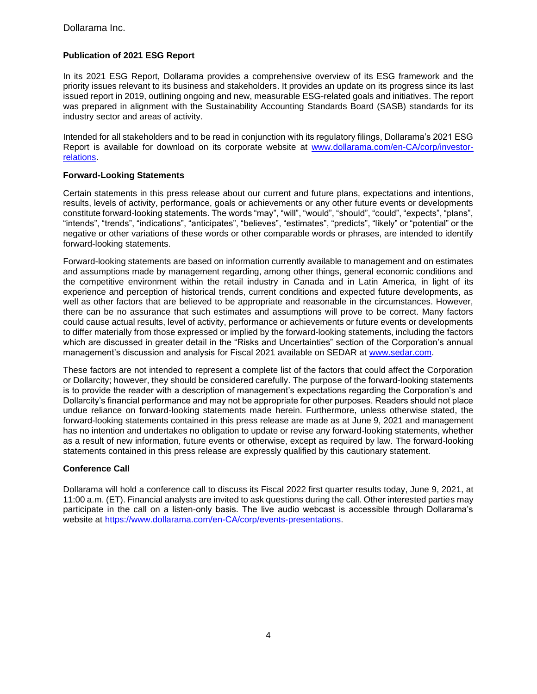## **Publication of 2021 ESG Report**

In its 2021 ESG Report, Dollarama provides a comprehensive overview of its ESG framework and the priority issues relevant to its business and stakeholders. It provides an update on its progress since its last issued report in 2019, outlining ongoing and new, measurable ESG-related goals and initiatives. The report was prepared in alignment with the Sustainability Accounting Standards Board (SASB) standards for its industry sector and areas of activity.

Intended for all stakeholders and to be read in conjunction with its regulatory filings, Dollarama's 2021 ESG Report is available for download on its corporate website at [www.dollarama.com/en-CA/corp/investor](http://www.dollarama.com/en-CA/corp/investor-relations)[relations.](http://www.dollarama.com/en-CA/corp/investor-relations)

### **Forward-Looking Statements**

Certain statements in this press release about our current and future plans, expectations and intentions, results, levels of activity, performance, goals or achievements or any other future events or developments constitute forward-looking statements. The words "may", "will", "would", "should", "could", "expects", "plans", "intends", "trends", "indications", "anticipates", "believes", "estimates", "predicts", "likely" or "potential" or the negative or other variations of these words or other comparable words or phrases, are intended to identify forward-looking statements.

Forward-looking statements are based on information currently available to management and on estimates and assumptions made by management regarding, among other things, general economic conditions and the competitive environment within the retail industry in Canada and in Latin America, in light of its experience and perception of historical trends, current conditions and expected future developments, as well as other factors that are believed to be appropriate and reasonable in the circumstances. However, there can be no assurance that such estimates and assumptions will prove to be correct. Many factors could cause actual results, level of activity, performance or achievements or future events or developments to differ materially from those expressed or implied by the forward-looking statements, including the factors which are discussed in greater detail in the "Risks and Uncertainties" section of the Corporation's annual management's discussion and analysis for Fiscal 2021 available on SEDAR at [www.sedar.com.](http://www.sedar.com/DisplayCompanyDocuments.do?lang=EN&issuerNo=00028876)

These factors are not intended to represent a complete list of the factors that could affect the Corporation or Dollarcity; however, they should be considered carefully. The purpose of the forward-looking statements is to provide the reader with a description of management's expectations regarding the Corporation's and Dollarcity's financial performance and may not be appropriate for other purposes. Readers should not place undue reliance on forward-looking statements made herein. Furthermore, unless otherwise stated, the forward-looking statements contained in this press release are made as at June 9, 2021 and management has no intention and undertakes no obligation to update or revise any forward-looking statements, whether as a result of new information, future events or otherwise, except as required by law. The forward-looking statements contained in this press release are expressly qualified by this cautionary statement.

## **Conference Call**

Dollarama will hold a conference call to discuss its Fiscal 2022 first quarter results today, June 9, 2021, at 11:00 a.m. (ET). Financial analysts are invited to ask questions during the call. Other interested parties may participate in the call on a listen-only basis. The live audio webcast is accessible through Dollarama's website at [https://www.dollarama.com/en-CA/corp/events-presentations.](https://www.dollarama.com/en-CA/corp/events-presentations)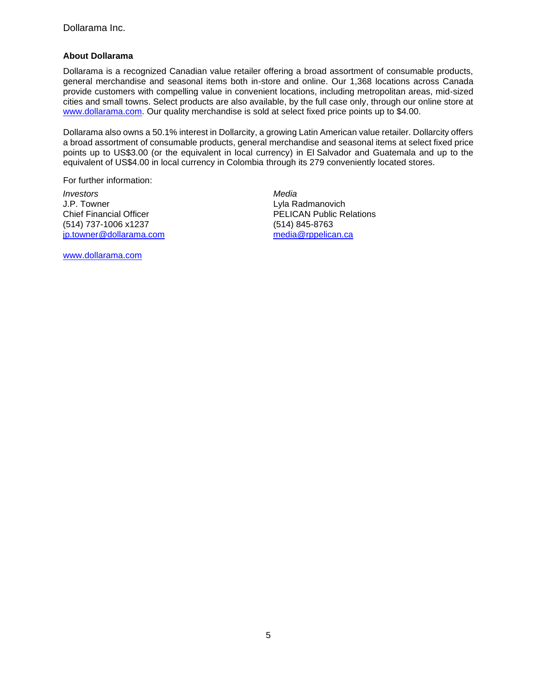## **About Dollarama**

Dollarama is a recognized Canadian value retailer offering a broad assortment of consumable products, general merchandise and seasonal items both in-store and online. Our 1,368 locations across Canada provide customers with compelling value in convenient locations, including metropolitan areas, mid-sized cities and small towns. Select products are also available, by the full case only, through our online store at [www.dollarama.com.](http://www.dollarama.com/) Our quality merchandise is sold at select fixed price points up to \$4.00.

Dollarama also owns a 50.1% interest in Dollarcity, a growing Latin American value retailer. Dollarcity offers a broad assortment of consumable products, general merchandise and seasonal items at select fixed price points up to US\$3.00 (or the equivalent in local currency) in El Salvador and Guatemala and up to the equivalent of US\$4.00 in local currency in Colombia through its 279 conveniently located stores.

For further information:

*Investors Media* J.P. Towner Chief Financial Officer (514) 737-1006 x1237 [jp.towner@dollarama.com](mailto:jp.towner@dollarama.com)

[www.dollarama.com](http://www.dollarama.com/)

Lyla Radmanovich PELICAN Public Relations (514) 845-8763 [media@rppelican.ca](mailto:media@rppelican.ca)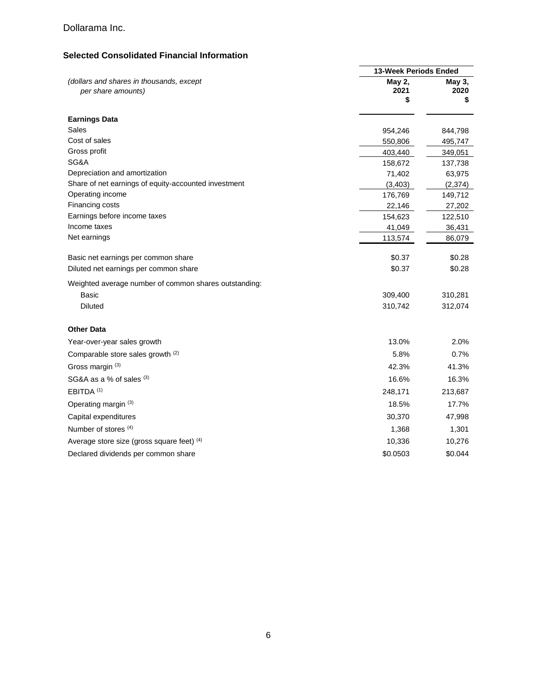## Dollarama Inc.

# **Selected Consolidated Financial Information**

|                                                                | <b>13-Week Periods Ended</b> |                      |
|----------------------------------------------------------------|------------------------------|----------------------|
| (dollars and shares in thousands, except<br>per share amounts) | May 2,<br>2021<br>\$         | May 3,<br>2020<br>\$ |
| <b>Earnings Data</b>                                           |                              |                      |
| Sales                                                          | 954,246                      | 844,798              |
| Cost of sales                                                  | 550,806                      | 495,747              |
| Gross profit                                                   | 403,440                      | 349,051              |
| SG&A                                                           | 158,672                      | 137,738              |
| Depreciation and amortization                                  | 71,402                       | 63,975               |
| Share of net earnings of equity-accounted investment           | (3,403)                      | (2,374)              |
| Operating income                                               | 176,769                      | 149,712              |
| Financing costs                                                | 22,146                       | 27,202               |
| Earnings before income taxes                                   | 154,623                      | 122,510              |
| Income taxes                                                   | 41,049                       | 36,431               |
| Net earnings                                                   | 113,574                      | 86,079               |
| Basic net earnings per common share                            | \$0.37                       | \$0.28               |
| Diluted net earnings per common share                          | \$0.37                       | \$0.28               |
| Weighted average number of common shares outstanding:          |                              |                      |
| Basic                                                          | 309,400                      | 310,281              |
| <b>Diluted</b>                                                 | 310,742                      | 312,074              |
| <b>Other Data</b>                                              |                              |                      |
| Year-over-year sales growth                                    | 13.0%                        | 2.0%                 |
| Comparable store sales growth (2)                              | 5.8%                         | 0.7%                 |
| Gross margin (3)                                               | 42.3%                        | 41.3%                |
| SG&A as a % of sales $(3)$                                     | 16.6%                        | 16.3%                |
| EBITDA <sup>(1)</sup>                                          | 248,171                      | 213,687              |
| Operating margin (3)                                           | 18.5%                        | 17.7%                |
| Capital expenditures                                           | 30,370                       | 47,998               |
| Number of stores (4)                                           | 1,368                        | 1,301                |
| Average store size (gross square feet) (4)                     | 10,336                       | 10,276               |
| Declared dividends per common share                            | \$0.0503                     | \$0.044              |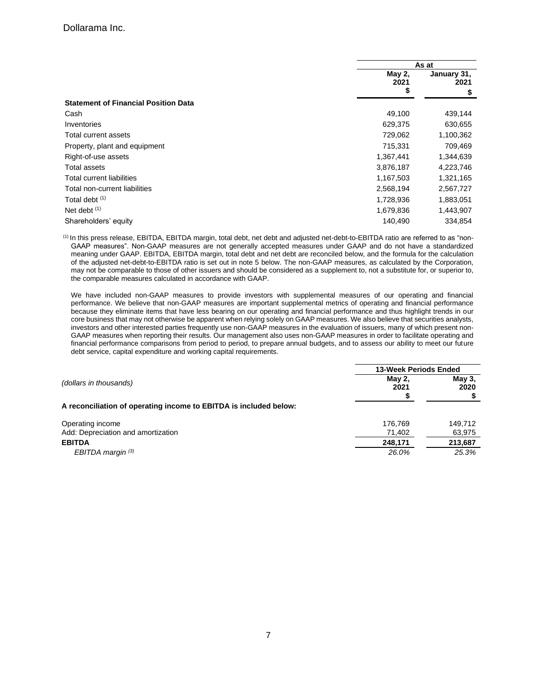|                                             |                | As at                     |  |
|---------------------------------------------|----------------|---------------------------|--|
|                                             | May 2,<br>2021 | January 31,<br>2021<br>\$ |  |
|                                             | \$             |                           |  |
| <b>Statement of Financial Position Data</b> |                |                           |  |
| Cash                                        | 49,100         | 439,144                   |  |
| Inventories                                 | 629,375        | 630,655                   |  |
| Total current assets                        | 729,062        | 1,100,362                 |  |
| Property, plant and equipment               | 715,331        | 709,469                   |  |
| Right-of-use assets                         | 1,367,441      | 1,344,639                 |  |
| Total assets                                | 3,876,187      | 4,223,746                 |  |
| Total current liabilities                   | 1,167,503      | 1,321,165                 |  |
| Total non-current liabilities               | 2,568,194      | 2,567,727                 |  |
| Total debt <sup>(1)</sup>                   | 1,728,936      | 1,883,051                 |  |
| Net debt $(1)$                              | 1,679,836      | 1,443,907                 |  |
| Shareholders' equity                        | 140,490        | 334.854                   |  |

(1) In this press release, EBITDA, EBITDA margin, total debt, net debt and adjusted net-debt-to-EBITDA ratio are referred to as "non-GAAP measures". Non-GAAP measures are not generally accepted measures under GAAP and do not have a standardized meaning under GAAP. EBITDA, EBITDA margin, total debt and net debt are reconciled below, and the formula for the calculation of the adjusted net-debt-to-EBITDA ratio is set out in note 5 below. The non-GAAP measures, as calculated by the Corporation, may not be comparable to those of other issuers and should be considered as a supplement to, not a substitute for, or superior to, the comparable measures calculated in accordance with GAAP.

We have included non-GAAP measures to provide investors with supplemental measures of our operating and financial performance. We believe that non-GAAP measures are important supplemental metrics of operating and financial performance because they eliminate items that have less bearing on our operating and financial performance and thus highlight trends in our core business that may not otherwise be apparent when relying solely on GAAP measures. We also believe that securities analysts, investors and other interested parties frequently use non-GAAP measures in the evaluation of issuers, many of which present non-GAAP measures when reporting their results. Our management also uses non-GAAP measures in order to facilitate operating and financial performance comparisons from period to period, to prepare annual budgets, and to assess our ability to meet our future debt service, capital expenditure and working capital requirements.

|                                                                   | 13-Week Periods Ended |                |
|-------------------------------------------------------------------|-----------------------|----------------|
| (dollars in thousands)                                            | May 2,<br>2021        | May 3,<br>2020 |
| A reconciliation of operating income to EBITDA is included below: |                       |                |
| Operating income                                                  | 176.769               | 149.712        |
| Add: Depreciation and amortization                                | 71,402                | 63,975         |
| <b>EBITDA</b>                                                     | 248,171               | 213,687        |
| EBITDA margin $(3)$                                               | 26.0%                 | 25.3%          |